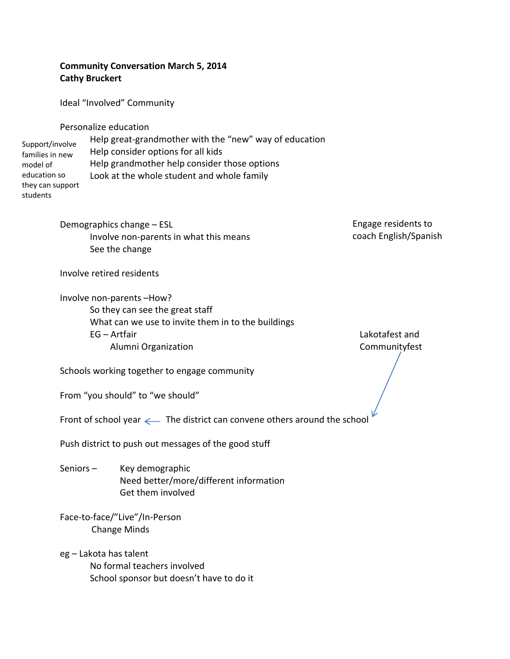## **Community Conversation March 5, 2014 Cathy Bruckert**

Ideal "Involved" Community

Personalize education

| Support/involve  | Help great-grandmother with the "new" way of education |
|------------------|--------------------------------------------------------|
| families in new  | Help consider options for all kids                     |
| model of         | Help grandmother help consider those options           |
| education so     | Look at the whole student and whole family             |
| they can support |                                                        |
| students         |                                                        |

| Demographics change – ESL              | Fn |
|----------------------------------------|----|
| Involve non-parents in what this means | CO |
| See the change                         |    |

Engage residents to coach English/Spanish

Involve retired residents

Involve non‐parents –How? So they can see the great staff What can we use to invite them in to the buildings EG – Artfair **EG** – Artfair  **2008** Alumni Organization **a controlled a controlled a controlled a controlled a controlled a controlled a controlled a controlled a controlled a controlled a controlled a controlled a controlled a controlled a controlled a cont** 

Schools working together to engage community

From "you should" to "we should"

Front of school year  $\leftarrow$  The district can convene others around the school

Push district to push out messages of the good stuff

Seniors – Key demographic Need better/more/different information Get them involved

Face‐to‐face/"Live"/In‐Person Change Minds

eg – Lakota has talent No formal teachers involved School sponsor but doesn't have to do it